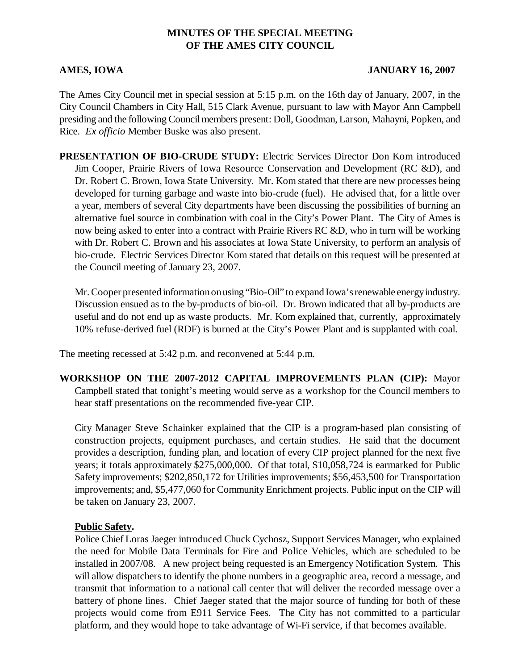# **MINUTES OF THE SPECIAL MEETING OF THE AMES CITY COUNCIL**

#### **AMES, IOWA JANUARY 16, 2007**

The Ames City Council met in special session at 5:15 p.m. on the 16th day of January, 2007, in the City Council Chambers in City Hall, 515 Clark Avenue, pursuant to law with Mayor Ann Campbell presiding and the following Council members present: Doll, Goodman, Larson, Mahayni, Popken, and Rice. *Ex officio* Member Buske was also present.

**PRESENTATION OF BIO-CRUDE STUDY:** Electric Services Director Don Kom introduced Jim Cooper, Prairie Rivers of Iowa Resource Conservation and Development (RC &D), and Dr. Robert C. Brown, Iowa State University. Mr. Kom stated that there are new processes being developed for turning garbage and waste into bio-crude (fuel). He advised that, for a little over a year, members of several City departments have been discussing the possibilities of burning an alternative fuel source in combination with coal in the City's Power Plant. The City of Ames is now being asked to enter into a contract with Prairie Rivers RC &D, who in turn will be working with Dr. Robert C. Brown and his associates at Iowa State University, to perform an analysis of bio-crude. Electric Services Director Kom stated that details on this request will be presented at the Council meeting of January 23, 2007.

Mr. Cooper presented information on using "Bio-Oil" to expand Iowa's renewable energy industry. Discussion ensued as to the by-products of bio-oil. Dr. Brown indicated that all by-products are useful and do not end up as waste products. Mr. Kom explained that, currently, approximately 10% refuse-derived fuel (RDF) is burned at the City's Power Plant and is supplanted with coal.

The meeting recessed at 5:42 p.m. and reconvened at 5:44 p.m.

**WORKSHOP ON THE 2007-2012 CAPITAL IMPROVEMENTS PLAN (CIP):** Mayor Campbell stated that tonight's meeting would serve as a workshop for the Council members to hear staff presentations on the recommended five-year CIP.

City Manager Steve Schainker explained that the CIP is a program-based plan consisting of construction projects, equipment purchases, and certain studies. He said that the document provides a description, funding plan, and location of every CIP project planned for the next five years; it totals approximately \$275,000,000. Of that total, \$10,058,724 is earmarked for Public Safety improvements; \$202,850,172 for Utilities improvements; \$56,453,500 for Transportation improvements; and, \$5,477,060 for Community Enrichment projects. Public input on the CIP will be taken on January 23, 2007.

### **Public Safety.**

Police Chief Loras Jaeger introduced Chuck Cychosz, Support Services Manager, who explained the need for Mobile Data Terminals for Fire and Police Vehicles, which are scheduled to be installed in 2007/08. A new project being requested is an Emergency Notification System. This will allow dispatchers to identify the phone numbers in a geographic area, record a message, and transmit that information to a national call center that will deliver the recorded message over a battery of phone lines. Chief Jaeger stated that the major source of funding for both of these projects would come from E911 Service Fees. The City has not committed to a particular platform, and they would hope to take advantage of Wi-Fi service, if that becomes available.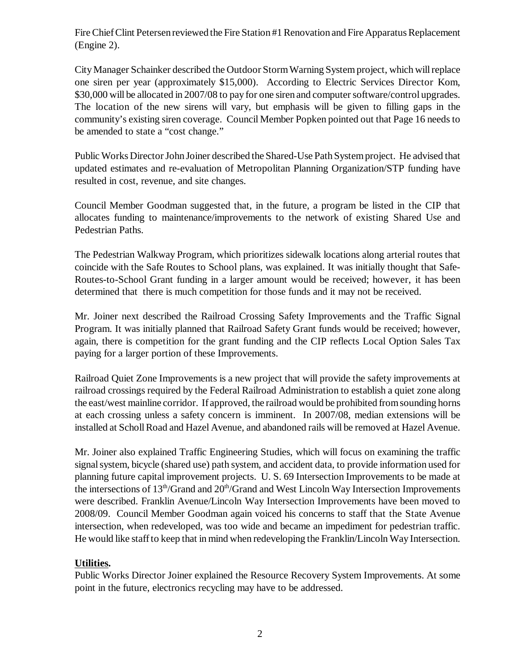Fire Chief Clint Petersen reviewed the Fire Station #1 Renovation and Fire Apparatus Replacement (Engine 2).

City Manager Schainker described the Outdoor Storm Warning System project, which will replace one siren per year (approximately \$15,000). According to Electric Services Director Kom, \$30,000 will be allocated in 2007/08 to pay for one siren and computer software/control upgrades. The location of the new sirens will vary, but emphasis will be given to filling gaps in the community's existing siren coverage. Council Member Popken pointed out that Page 16 needs to be amended to state a "cost change."

Public Works Director John Joiner described the Shared-Use Path System project. He advised that updated estimates and re-evaluation of Metropolitan Planning Organization/STP funding have resulted in cost, revenue, and site changes.

Council Member Goodman suggested that, in the future, a program be listed in the CIP that allocates funding to maintenance/improvements to the network of existing Shared Use and Pedestrian Paths.

The Pedestrian Walkway Program, which prioritizes sidewalk locations along arterial routes that coincide with the Safe Routes to School plans, was explained. It was initially thought that Safe-Routes-to-School Grant funding in a larger amount would be received; however, it has been determined that there is much competition for those funds and it may not be received.

Mr. Joiner next described the Railroad Crossing Safety Improvements and the Traffic Signal Program. It was initially planned that Railroad Safety Grant funds would be received; however, again, there is competition for the grant funding and the CIP reflects Local Option Sales Tax paying for a larger portion of these Improvements.

Railroad Quiet Zone Improvements is a new project that will provide the safety improvements at railroad crossings required by the Federal Railroad Administration to establish a quiet zone along the east/west mainline corridor. If approved, the railroad would be prohibited from sounding horns at each crossing unless a safety concern is imminent. In 2007/08, median extensions will be installed at Scholl Road and Hazel Avenue, and abandoned rails will be removed at Hazel Avenue.

Mr. Joiner also explained Traffic Engineering Studies, which will focus on examining the traffic signal system, bicycle (shared use) path system, and accident data, to provide information used for planning future capital improvement projects. U. S. 69 Intersection Improvements to be made at the intersections of  $13<sup>th</sup>/Grand$  and  $20<sup>th</sup>/Grand$  and West Lincoln Way Intersection Improvements were described. Franklin Avenue/Lincoln Way Intersection Improvements have been moved to 2008/09. Council Member Goodman again voiced his concerns to staff that the State Avenue intersection, when redeveloped, was too wide and became an impediment for pedestrian traffic. He would like staff to keep that in mind when redeveloping the Franklin/Lincoln Way Intersection.

# **Utilities.**

Public Works Director Joiner explained the Resource Recovery System Improvements. At some point in the future, electronics recycling may have to be addressed.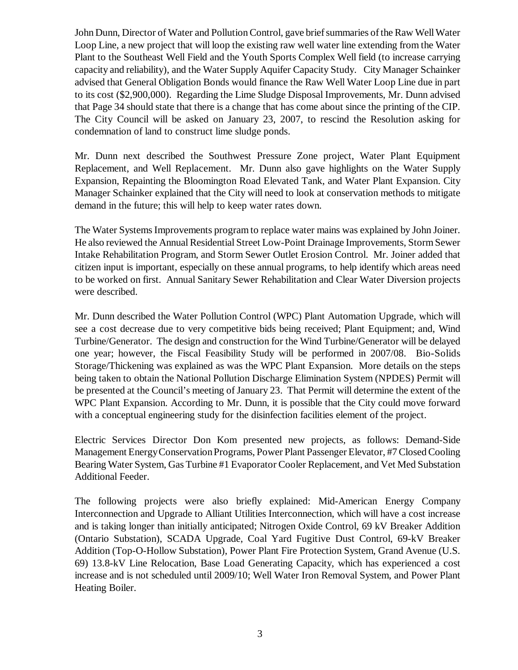John Dunn, Director of Water and Pollution Control, gave brief summaries of the Raw Well Water Loop Line, a new project that will loop the existing raw well water line extending from the Water Plant to the Southeast Well Field and the Youth Sports Complex Well field (to increase carrying capacity and reliability), and the Water Supply Aquifer Capacity Study. City Manager Schainker advised that General Obligation Bonds would finance the Raw Well Water Loop Line due in part to its cost (\$2,900,000). Regarding the Lime Sludge Disposal Improvements, Mr. Dunn advised that Page 34 should state that there is a change that has come about since the printing of the CIP. The City Council will be asked on January 23, 2007, to rescind the Resolution asking for condemnation of land to construct lime sludge ponds.

Mr. Dunn next described the Southwest Pressure Zone project, Water Plant Equipment Replacement, and Well Replacement. Mr. Dunn also gave highlights on the Water Supply Expansion, Repainting the Bloomington Road Elevated Tank, and Water Plant Expansion. City Manager Schainker explained that the City will need to look at conservation methods to mitigate demand in the future; this will help to keep water rates down.

The Water Systems Improvements program to replace water mains was explained by John Joiner. He also reviewed the Annual Residential Street Low-Point Drainage Improvements, Storm Sewer Intake Rehabilitation Program, and Storm Sewer Outlet Erosion Control. Mr. Joiner added that citizen input is important, especially on these annual programs, to help identify which areas need to be worked on first. Annual Sanitary Sewer Rehabilitation and Clear Water Diversion projects were described.

Mr. Dunn described the Water Pollution Control (WPC) Plant Automation Upgrade, which will see a cost decrease due to very competitive bids being received; Plant Equipment; and, Wind Turbine/Generator. The design and construction for the Wind Turbine/Generator will be delayed one year; however, the Fiscal Feasibility Study will be performed in 2007/08. Bio-Solids Storage/Thickening was explained as was the WPC Plant Expansion. More details on the steps being taken to obtain the National Pollution Discharge Elimination System (NPDES) Permit will be presented at the Council's meeting of January 23. That Permit will determine the extent of the WPC Plant Expansion. According to Mr. Dunn, it is possible that the City could move forward with a conceptual engineering study for the disinfection facilities element of the project.

Electric Services Director Don Kom presented new projects, as follows: Demand-Side Management Energy Conservation Programs, Power Plant Passenger Elevator, #7 Closed Cooling Bearing Water System, Gas Turbine #1 Evaporator Cooler Replacement, and Vet Med Substation Additional Feeder.

The following projects were also briefly explained: Mid-American Energy Company Interconnection and Upgrade to Alliant Utilities Interconnection, which will have a cost increase and is taking longer than initially anticipated; Nitrogen Oxide Control, 69 kV Breaker Addition (Ontario Substation), SCADA Upgrade, Coal Yard Fugitive Dust Control, 69-kV Breaker Addition (Top-O-Hollow Substation), Power Plant Fire Protection System, Grand Avenue (U.S. 69) 13.8-kV Line Relocation, Base Load Generating Capacity, which has experienced a cost increase and is not scheduled until 2009/10; Well Water Iron Removal System, and Power Plant Heating Boiler.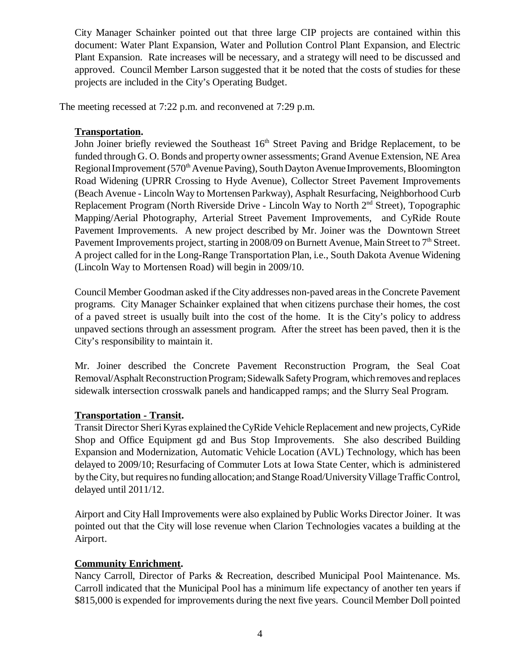City Manager Schainker pointed out that three large CIP projects are contained within this document: Water Plant Expansion, Water and Pollution Control Plant Expansion, and Electric Plant Expansion. Rate increases will be necessary, and a strategy will need to be discussed and approved. Council Member Larson suggested that it be noted that the costs of studies for these projects are included in the City's Operating Budget.

The meeting recessed at 7:22 p.m. and reconvened at 7:29 p.m.

## **Transportation.**

John Joiner briefly reviewed the Southeast  $16<sup>th</sup>$  Street Paving and Bridge Replacement, to be funded through G. O. Bonds and property owner assessments; Grand Avenue Extension, NE Area Regional Improvement (570<sup>th</sup> Avenue Paving), South Dayton Avenue Improvements, Bloomington Road Widening (UPRR Crossing to Hyde Avenue), Collector Street Pavement Improvements (Beach Avenue - Lincoln Way to Mortensen Parkway), Asphalt Resurfacing, Neighborhood Curb Replacement Program (North Riverside Drive - Lincoln Way to North 2<sup>nd</sup> Street), Topographic Mapping/Aerial Photography, Arterial Street Pavement Improvements, and CyRide Route Pavement Improvements. A new project described by Mr. Joiner was the Downtown Street Pavement Improvements project, starting in 2008/09 on Burnett Avenue, Main Street to 7<sup>th</sup> Street. A project called for in the Long-Range Transportation Plan, i.e., South Dakota Avenue Widening (Lincoln Way to Mortensen Road) will begin in 2009/10.

Council Member Goodman asked if the City addresses non-paved areas in the Concrete Pavement programs. City Manager Schainker explained that when citizens purchase their homes, the cost of a paved street is usually built into the cost of the home. It is the City's policy to address unpaved sections through an assessment program. After the street has been paved, then it is the City's responsibility to maintain it.

Mr. Joiner described the Concrete Pavement Reconstruction Program, the Seal Coat Removal/Asphalt Reconstruction Program; Sidewalk Safety Program, which removes and replaces sidewalk intersection crosswalk panels and handicapped ramps; and the Slurry Seal Program.

# **Transportation - Transit.**

Transit Director Sheri Kyras explained the CyRide Vehicle Replacement and new projects, CyRide Shop and Office Equipment gd and Bus Stop Improvements. She also described Building Expansion and Modernization, Automatic Vehicle Location (AVL) Technology, which has been delayed to 2009/10; Resurfacing of Commuter Lots at Iowa State Center, which is administered by the City, but requires no funding allocation; and Stange Road/University Village Traffic Control, delayed until 2011/12.

Airport and City Hall Improvements were also explained by Public Works Director Joiner. It was pointed out that the City will lose revenue when Clarion Technologies vacates a building at the Airport.

### **Community Enrichment.**

Nancy Carroll, Director of Parks & Recreation, described Municipal Pool Maintenance. Ms. Carroll indicated that the Municipal Pool has a minimum life expectancy of another ten years if \$815,000 is expended for improvements during the next five years. Council Member Doll pointed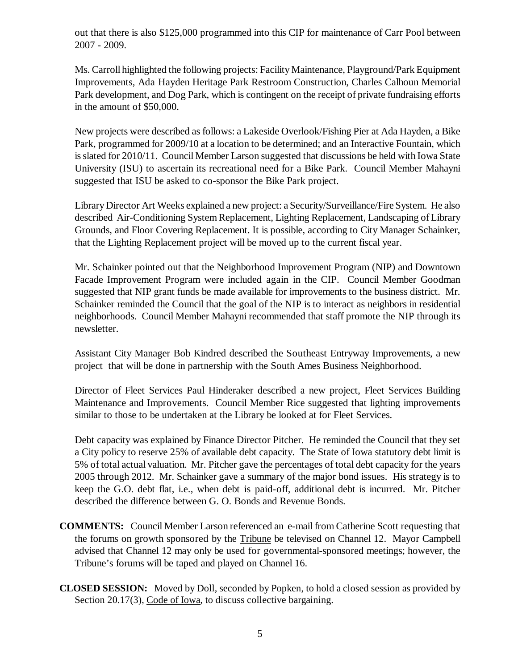out that there is also \$125,000 programmed into this CIP for maintenance of Carr Pool between 2007 - 2009.

Ms. Carroll highlighted the following projects: Facility Maintenance, Playground/Park Equipment Improvements, Ada Hayden Heritage Park Restroom Construction, Charles Calhoun Memorial Park development, and Dog Park, which is contingent on the receipt of private fundraising efforts in the amount of \$50,000.

New projects were described as follows: a Lakeside Overlook/Fishing Pier at Ada Hayden, a Bike Park, programmed for 2009/10 at a location to be determined; and an Interactive Fountain, which is slated for 2010/11. Council Member Larson suggested that discussions be held with Iowa State University (ISU) to ascertain its recreational need for a Bike Park. Council Member Mahayni suggested that ISU be asked to co-sponsor the Bike Park project.

Library Director Art Weeks explained a new project: a Security/Surveillance/Fire System. He also described Air-Conditioning System Replacement, Lighting Replacement, Landscaping of Library Grounds, and Floor Covering Replacement. It is possible, according to City Manager Schainker, that the Lighting Replacement project will be moved up to the current fiscal year.

Mr. Schainker pointed out that the Neighborhood Improvement Program (NIP) and Downtown Facade Improvement Program were included again in the CIP. Council Member Goodman suggested that NIP grant funds be made available for improvements to the business district. Mr. Schainker reminded the Council that the goal of the NIP is to interact as neighbors in residential neighborhoods. Council Member Mahayni recommended that staff promote the NIP through its newsletter.

Assistant City Manager Bob Kindred described the Southeast Entryway Improvements, a new project that will be done in partnership with the South Ames Business Neighborhood.

Director of Fleet Services Paul Hinderaker described a new project, Fleet Services Building Maintenance and Improvements. Council Member Rice suggested that lighting improvements similar to those to be undertaken at the Library be looked at for Fleet Services.

Debt capacity was explained by Finance Director Pitcher. He reminded the Council that they set a City policy to reserve 25% of available debt capacity. The State of Iowa statutory debt limit is 5% of total actual valuation. Mr. Pitcher gave the percentages of total debt capacity for the years 2005 through 2012. Mr. Schainker gave a summary of the major bond issues. His strategy is to keep the G.O. debt flat, i.e., when debt is paid-off, additional debt is incurred. Mr. Pitcher described the difference between G. O. Bonds and Revenue Bonds.

- **COMMENTS:** Council Member Larson referenced an e-mail from Catherine Scott requesting that the forums on growth sponsored by the Tribune be televised on Channel 12. Mayor Campbell advised that Channel 12 may only be used for governmental-sponsored meetings; however, the Tribune's forums will be taped and played on Channel 16.
- **CLOSED SESSION:** Moved by Doll, seconded by Popken, to hold a closed session as provided by Section 20.17(3), Code of Iowa, to discuss collective bargaining.